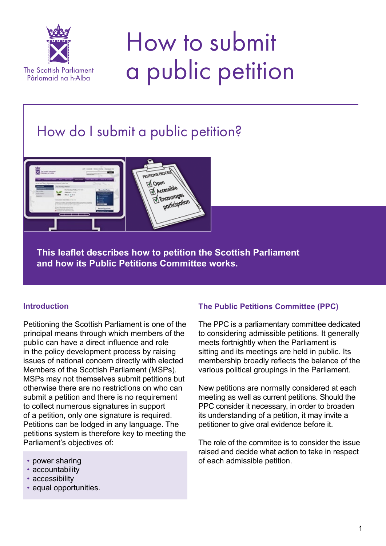

# How to submit a public petition

## How do I submit a public petition?



**This leaflet describes how to petition the Scottish Parliament and how its Public Petitions Committee works.**

#### **Introduction**

Petitioning the Scottish Parliament is one of the principal means through which members of the public can have a direct influence and role in the policy development process by raising issues of national concern directly with elected Members of the Scottish Parliament (MSPs). MSPs may not themselves submit petitions but otherwise there are no restrictions on who can submit a petition and there is no requirement to collect numerous signatures in support of a petition, only one signature is required. Petitions can be lodged in any language. The petitions system is therefore key to meeting the Parliament's objectives of:

- power sharing
- accountability
- accessibility
- equal opportunities.

### **The Public Petitions Committee (PPC)**

The PPC is a parliamentary committee dedicated to considering admissible petitions. It generally meets fortnightly when the Parliament is sitting and its meetings are held in public. Its membership broadly reflects the balance of the various political groupings in the Parliament.

New petitions are normally considered at each meeting as well as current petitions. Should the PPC consider it necessary, in order to broaden its understanding of a petition, it may invite a petitioner to give oral evidence before it.

The role of the commitee is to consider the issue raised and decide what action to take in respect of each admissible petition.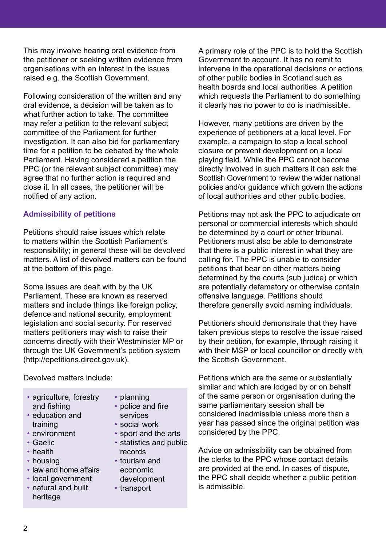This may involve hearing oral evidence from the petitioner or seeking written evidence from organisations with an interest in the issues raised e.g. the Scottish Government.

Following consideration of the written and any oral evidence, a decision will be taken as to what further action to take. The committee may refer a petition to the relevant subject committee of the Parliament for further investigation. It can also bid for parliamentary time for a petition to be debated by the whole Parliament. Having considered a petition the PPC (or the relevant subject committee) may agree that no further action is required and close it. In all cases, the petitioner will be notified of any action.

#### **Admissibility of petitions**

Petitions should raise issues which relate to matters within the Scottish Parliament's responsibility; in general these will be devolved matters. A list of devolved matters can be found at the bottom of this page.

Some issues are dealt with by the UK Parliament. These are known as reserved matters and include things like foreign policy, defence and national security, employment legislation and social security. For reserved matters petitioners may wish to raise their concerns directly with their Westminster MP or through the UK Government's petition system (http://epetitions.direct.gov.uk).

Devolved matters include:

- agriculture, forestry and fishing
- education and training
- environment
- Gaelic
- health
- housing
- law and home affairs
- local government
- natural and built heritage
- planning
- police and fire
- services • social work
- 
- sport and the arts • statistics and public
- records • tourism and economic development
- transport

A primary role of the PPC is to hold the Scottish Government to account. It has no remit to intervene in the operational decisions or actions of other public bodies in Scotland such as health boards and local authorities. A petition which requests the Parliament to do something it clearly has no power to do is inadmissible.

However, many petitions are driven by the experience of petitioners at a local level. For example, a campaign to stop a local school closure or prevent development on a local playing field. While the PPC cannot become directly involved in such matters it can ask the Scottish Government to review the wider national policies and/or guidance which govern the actions of local authorities and other public bodies.

Petitions may not ask the PPC to adjudicate on personal or commercial interests which should be determined by a court or other tribunal. Petitioners must also be able to demonstrate that there is a public interest in what they are calling for. The PPC is unable to consider petitions that bear on other matters being determined by the courts (sub judice) or which are potentially defamatory or otherwise contain offensive language. Petitions should therefore generally avoid naming individuals.

Petitioners should demonstrate that they have taken previous steps to resolve the issue raised by their petition, for example, through raising it with their MSP or local councillor or directly with the Scottish Government.

Petitions which are the same or substantially similar and which are lodged by or on behalf of the same person or organisation during the same parliamentary session shall be considered inadmissible unless more than a year has passed since the original petition was considered by the PPC.

Advice on admissibility can be obtained from the clerks to the PPC whose contact details are provided at the end. In cases of dispute, the PPC shall decide whether a public petition is admissible.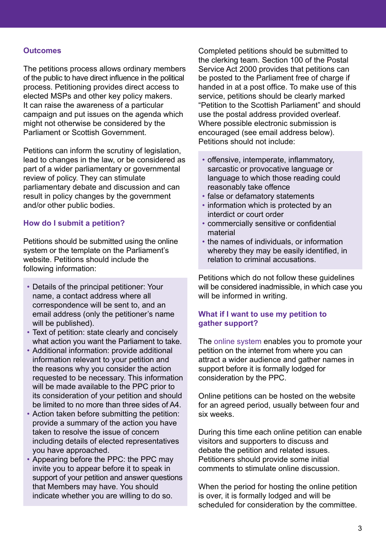#### **Outcomes**

The petitions process allows ordinary members of the public to have direct influence in the political process. Petitioning provides direct access to elected MSPs and other key policy makers. It can raise the awareness of a particular campaign and put issues on the agenda which might not otherwise be considered by the Parliament or Scottish Government.

Petitions can inform the scrutiny of legislation, lead to changes in the law, or be considered as part of a wider parliamentary or governmental review of policy. They can stimulate parliamentary debate and discussion and can result in policy changes by the government and/or other public bodies.

#### **How do I submit a petition?**

Petitions should be submitted using the online system or the template on the Parliament's website. Petitions should include the following information:

- Details of the principal petitioner: Your name, a contact address where all correspondence will be sent to, and an email address (only the petitioner's name will be published).
- Text of petition: state clearly and concisely what action you want the Parliament to take.
- Additional information: provide additional information relevant to your petition and the reasons why you consider the action requested to be necessary. This information will be made available to the PPC prior to its consideration of your petition and should be limited to no more than three sides of A4.
- Action taken before submitting the petition: provide a summary of the action you have taken to resolve the issue of concern including details of elected representatives you have approached.
- Appearing before the PPC: the PPC may invite you to appear before it to speak in support of your petition and answer questions that Members may have. You should indicate whether you are willing to do so.

Completed petitions should be submitted to the clerking team. Section 100 of the Postal Service Act 2000 provides that petitions can be posted to the Parliament free of charge if handed in at a post office. To make use of this service, petitions should be clearly marked "Petition to the Scottish Parliament" and should use the postal address provided overleaf. Where possible electronic submission is encouraged (see email address below). Petitions should not include:

- offensive, intemperate, inflammatory, sarcastic or provocative language or language to which those reading could reasonably take offence
- false or defamatory statements
- information which is protected by an interdict or court order
- commercially sensitive or confidential material
- the names of individuals, or information whereby they may be easily identified, in relation to criminal accusations.

Petitions which do not follow these guidelines will be considered inadmissible, in which case you will be informed in writing.

#### **What if I want to use my petition to gather support?**

The [online system](www.scottish.parliament.uk/gettinginvolved/petitions) enables you to promote your petition on the internet from where you can attract a wider audience and gather names in support before it is formally lodged for consideration by the PPC.

Online petitions can be hosted on the website for an agreed period, usually between four and six weeks.

During this time each online petition can enable visitors and supporters to discuss and debate the petition and related issues. Petitioners should provide some initial comments to stimulate online discussion.

When the period for hosting the online petition is over, it is formally lodged and will be scheduled for consideration by the committee.